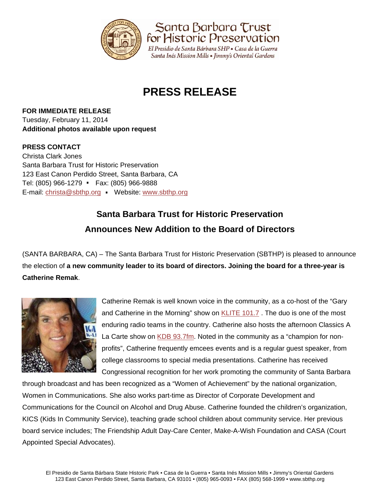

Santa Barbara Trust for Historic Preservation

El Presidio de Santa Bárbara SHP · Casa de la Guerra Santa Inés Mission Mills • Jimmy's Oriental Gardens

# **PRESS RELEASE**

**FOR IMMEDIATE RELEASE** Tuesday, February 11, 2014 **Additional photos available upon request** 

### **PRESS CONTACT**

Christa Clark Jones Santa Barbara Trust for Historic Preservation 123 East Canon Perdido Street, Santa Barbara, CA Tel: (805) 966-1279 • Fax: (805) 966-9888 E-mail: christa@sbthp.org Website: www.sbthp.org . .

## **Santa Barbara Trust for Historic Preservation Announces New Addition to the Board of Directors**

(SANTA BARBARA, CA) – The Santa Barbara Trust for Historic Preservation (SBTHP) is pleased to announce the election of **a new community leader to its board of directors. Joining the board for a three-year is Catherine Remak**.



Catherine Remak is well known voice in the community, as a co-host of the "Gary and Catherine in the Morning" show on KLITE 101.7 . The duo is one of the most enduring radio teams in the country. Catherine also hosts the afternoon Classics A La Carte show on KDB 93.7fm. Noted in the community as a "champion for nonprofits", Catherine frequently emcees events and is a regular guest speaker, from college classrooms to special media presentations. Catherine has received Congressional recognition for her work promoting the community of Santa Barbara

through broadcast and has been recognized as a "Women of Achievement" by the national organization, Women in Communications. She also works part-time as Director of Corporate Development and Communications for the Council on Alcohol and Drug Abuse. Catherine founded the children's organization, KICS (Kids In Community Service), teaching grade school children about community service. Her previous board service includes; The Friendship Adult Day-Care Center, Make-A-Wish Foundation and CASA (Court Appointed Special Advocates).